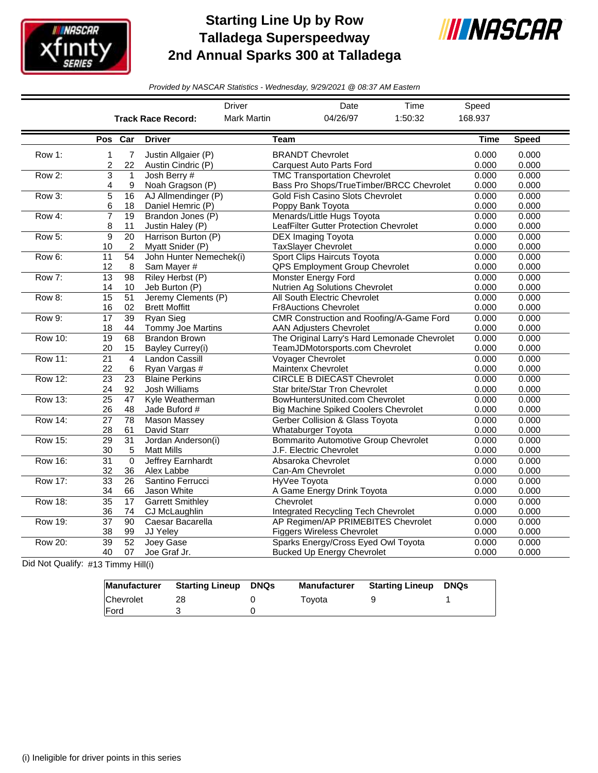

## **Starting Line Up by Row Talladega Superspeedway 2nd Annual Sparks 300 at Talladega**



*Provided by NASCAR Statistics - Wednesday, 9/29/2021 @ 08:37 AM Eastern*

|                |                       |                       |                                             | <b>Driver</b>      | Date                                                                            | Time    | Speed          |                |
|----------------|-----------------------|-----------------------|---------------------------------------------|--------------------|---------------------------------------------------------------------------------|---------|----------------|----------------|
|                |                       |                       | <b>Track Race Record:</b>                   | <b>Mark Martin</b> | 04/26/97                                                                        | 1:50:32 | 168.937        |                |
|                | Pos Car               |                       | <b>Driver</b>                               |                    | Team                                                                            |         | <b>Time</b>    | <b>Speed</b>   |
| Row 1:         | 1<br>2                | 7<br>22               | Justin Allgaier (P)<br>Austin Cindric (P)   |                    | <b>BRANDT Chevrolet</b><br>Carquest Auto Parts Ford                             |         | 0.000<br>0.000 | 0.000<br>0.000 |
| Row 2:         | $\overline{3}$<br>4   | $\mathbf{1}$<br>9     | Josh Berry #<br>Noah Gragson (P)            |                    | <b>TMC Transportation Chevrolet</b><br>Bass Pro Shops/TrueTimber/BRCC Chevrolet |         | 0.000<br>0.000 | 0.000<br>0.000 |
| Row 3:         | 5<br>6                | $\overline{16}$<br>18 | AJ Allmendinger (P)<br>Daniel Hemric (P)    |                    | Gold Fish Casino Slots Chevrolet<br>Poppy Bank Toyota                           |         | 0.000<br>0.000 | 0.000<br>0.000 |
| Row 4:         | $\overline{7}$<br>8   | $\overline{19}$<br>11 | Brandon Jones (P)<br>Justin Haley (P)       |                    | Menards/Little Hugs Toyota<br>LeafFilter Gutter Protection Chevrolet            |         | 0.000<br>0.000 | 0.000<br>0.000 |
| Row 5:         | 9<br>10               | 20<br>2               | Harrison Burton (P)<br>Myatt Snider (P)     |                    | <b>DEX Imaging Toyota</b><br><b>TaxSlayer Chevrolet</b>                         |         | 0.000<br>0.000 | 0.000<br>0.000 |
| Row 6:         | 11<br>12              | 54<br>8               | John Hunter Nemechek(i)<br>Sam Mayer #      |                    | Sport Clips Haircuts Toyota<br>QPS Employment Group Chevrolet                   |         | 0.000<br>0.000 | 0.000<br>0.000 |
| Row 7:         | $\overline{13}$<br>14 | 98<br>10              | Riley Herbst (P)<br>Jeb Burton (P)          |                    | <b>Monster Energy Ford</b><br>Nutrien Ag Solutions Chevrolet                    |         | 0.000<br>0.000 | 0.000<br>0.000 |
| Row 8:         | $\overline{15}$<br>16 | $\overline{51}$<br>02 | Jeremy Clements (P)<br><b>Brett Moffitt</b> |                    | All South Electric Chevrolet<br><b>Fr8Auctions Chevrolet</b>                    |         | 0.000<br>0.000 | 0.000<br>0.000 |
| Row 9:         | $\overline{17}$<br>18 | $\overline{39}$<br>44 | <b>Ryan Sieg</b><br>Tommy Joe Martins       |                    | CMR Construction and Roofing/A-Game Ford<br><b>AAN Adjusters Chevrolet</b>      |         | 0.000<br>0.000 | 0.000<br>0.000 |
| <b>Row 10:</b> | $\overline{19}$<br>20 | 68<br>15              | <b>Brandon Brown</b><br>Bayley Currey(i)    |                    | The Original Larry's Hard Lemonade Chevrolet<br>TeamJDMotorsports.com Chevrolet |         | 0.000<br>0.000 | 0.000<br>0.000 |
| <b>Row 11:</b> | $\overline{21}$<br>22 | $\overline{4}$<br>6   | <b>Landon Cassill</b><br>Ryan Vargas #      |                    | <b>Voyager Chevrolet</b><br>Maintenx Chevrolet                                  |         | 0.000<br>0.000 | 0.000<br>0.000 |
| <b>Row 12:</b> | $\overline{23}$<br>24 | 23<br>92              | <b>Blaine Perkins</b><br>Josh Williams      |                    | <b>CIRCLE B DIECAST Chevrolet</b><br>Star brite/Star Tron Chevrolet             |         | 0.000<br>0.000 | 0.000<br>0.000 |
| <b>Row 13:</b> | $\overline{25}$<br>26 | 47<br>48              | Kyle Weatherman<br>Jade Buford #            |                    | BowHuntersUnited.com Chevrolet<br><b>Big Machine Spiked Coolers Chevrolet</b>   |         | 0.000<br>0.000 | 0.000<br>0.000 |
| <b>Row 14:</b> | $\overline{27}$<br>28 | 78<br>61              | <b>Mason Massey</b><br>David Starr          |                    | <b>Gerber Collision &amp; Glass Toyota</b><br><b>Whataburger Toyota</b>         |         | 0.000<br>0.000 | 0.000<br>0.000 |
| <b>Row 15:</b> | 29<br>30              | 31<br>5               | Jordan Anderson(i)<br><b>Matt Mills</b>     |                    | <b>Bommarito Automotive Group Chevrolet</b><br>J.F. Electric Chevrolet          |         | 0.000<br>0.000 | 0.000<br>0.000 |
| <b>Row 16:</b> | $\overline{31}$<br>32 | $\overline{0}$<br>36  | <b>Jeffrey Earnhardt</b><br>Alex Labbe      |                    | Absaroka Chevrolet<br>Can-Am Chevrolet                                          |         | 0.000<br>0.000 | 0.000<br>0.000 |
| <b>Row 17:</b> | 33<br>34              | 26<br>66              | Santino Ferrucci<br>Jason White             |                    | HyVee Toyota<br>A Game Energy Drink Toyota                                      |         | 0.000<br>0.000 | 0.000<br>0.000 |
| <b>Row 18:</b> | 35<br>36              | 17<br>74              | Garrett Smithley<br>CJ McLaughlin           |                    | Chevrolet<br>Integrated Recycling Tech Chevrolet                                |         | 0.000<br>0.000 | 0.000<br>0.000 |
| Row 19:        | $\overline{37}$<br>38 | 90<br>99              | Caesar Bacarella<br>JJ Yeley                |                    | AP Regimen/AP PRIMEBITES Chevrolet<br><b>Figgers Wireless Chevrolet</b>         |         | 0.000<br>0.000 | 0.000<br>0.000 |
| <b>Row 20:</b> | $\overline{39}$<br>40 | 52<br>07              | Joey Gase<br>Joe Graf Jr.                   |                    | Sparks Energy/Cross Eyed Owl Toyota<br><b>Bucked Up Energy Chevrolet</b>        |         | 0.000<br>0.000 | 0.000<br>0.000 |

Did Not Qualify: #13 Timmy Hill(i)

|              | Manufacturer Starting Lineup | DNQs | <b>Manufacturer</b> | <b>Starting Lineup</b> | <b>DNQs</b> |
|--------------|------------------------------|------|---------------------|------------------------|-------------|
| Chevrolet    |                              |      | Tovota              |                        |             |
| <b>IFord</b> |                              |      |                     |                        |             |